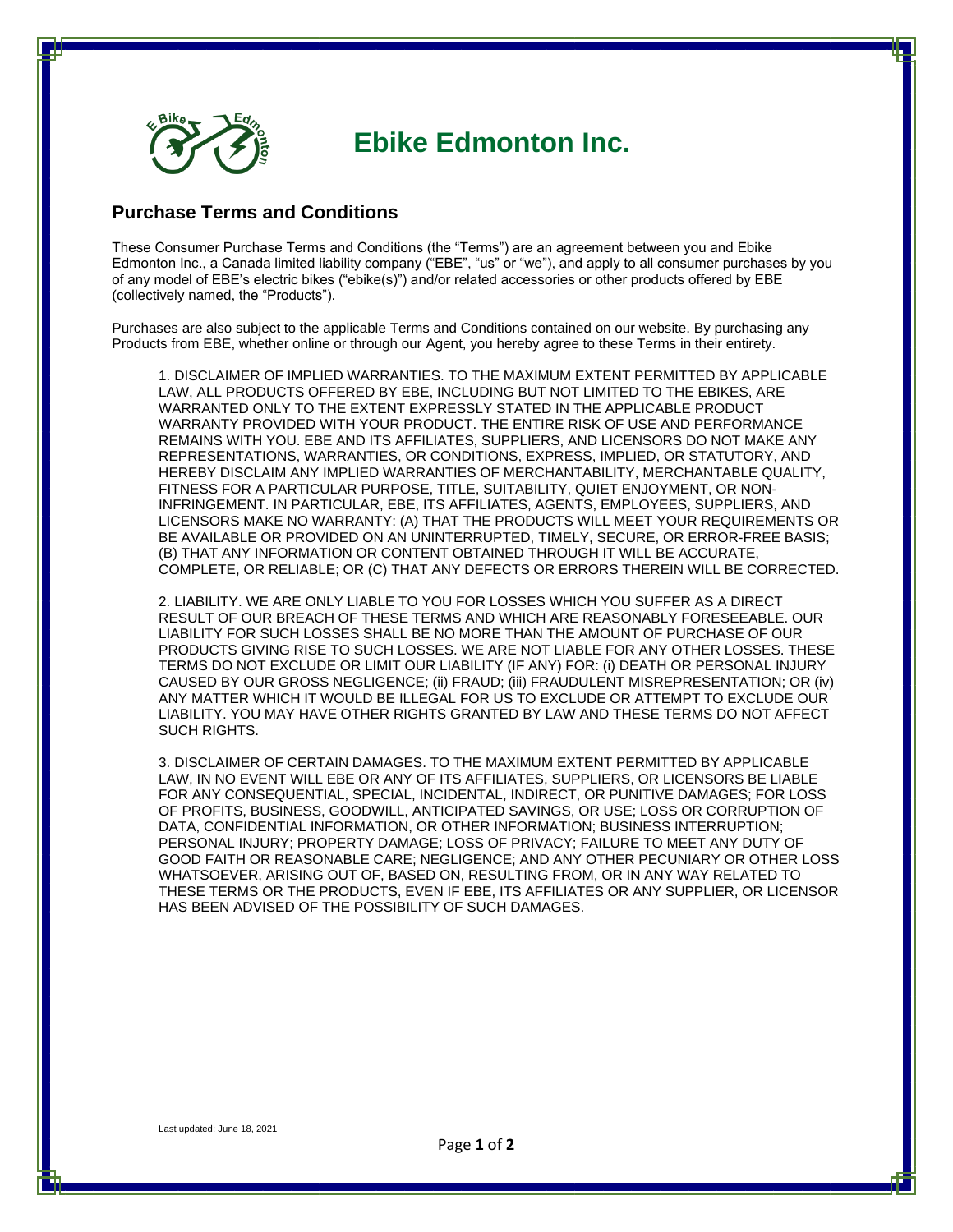

## **Ebike Edmonton Inc.**

## **Purchase Terms and Conditions**

These Consumer Purchase Terms and Conditions (the "Terms") are an agreement between you and Ebike Edmonton Inc., a Canada limited liability company ("EBE", "us" or "we"), and apply to all consumer purchases by you of any model of EBE's electric bikes ("ebike(s)") and/or related accessories or other products offered by EBE (collectively named, the "Products").

Purchases are also subject to the applicable Terms and Conditions contained on our website. By purchasing any Products from EBE, whether online or through our Agent, you hereby agree to these Terms in their entirety.

1. DISCLAIMER OF IMPLIED WARRANTIES. TO THE MAXIMUM EXTENT PERMITTED BY APPLICABLE LAW, ALL PRODUCTS OFFERED BY EBE, INCLUDING BUT NOT LIMITED TO THE EBIKES, ARE WARRANTED ONLY TO THE EXTENT EXPRESSLY STATED IN THE APPLICABLE PRODUCT WARRANTY PROVIDED WITH YOUR PRODUCT. THE ENTIRE RISK OF USE AND PERFORMANCE REMAINS WITH YOU. EBE AND ITS AFFILIATES, SUPPLIERS, AND LICENSORS DO NOT MAKE ANY REPRESENTATIONS, WARRANTIES, OR CONDITIONS, EXPRESS, IMPLIED, OR STATUTORY, AND HEREBY DISCLAIM ANY IMPLIED WARRANTIES OF MERCHANTABILITY, MERCHANTABLE QUALITY, FITNESS FOR A PARTICULAR PURPOSE, TITLE, SUITABILITY, QUIET ENJOYMENT, OR NON-INFRINGEMENT. IN PARTICULAR, EBE, ITS AFFILIATES, AGENTS, EMPLOYEES, SUPPLIERS, AND LICENSORS MAKE NO WARRANTY: (A) THAT THE PRODUCTS WILL MEET YOUR REQUIREMENTS OR BE AVAILABLE OR PROVIDED ON AN UNINTERRUPTED, TIMELY, SECURE, OR ERROR-FREE BASIS; (B) THAT ANY INFORMATION OR CONTENT OBTAINED THROUGH IT WILL BE ACCURATE, COMPLETE, OR RELIABLE; OR (C) THAT ANY DEFECTS OR ERRORS THEREIN WILL BE CORRECTED.

2. LIABILITY. WE ARE ONLY LIABLE TO YOU FOR LOSSES WHICH YOU SUFFER AS A DIRECT RESULT OF OUR BREACH OF THESE TERMS AND WHICH ARE REASONABLY FORESEEABLE. OUR LIABILITY FOR SUCH LOSSES SHALL BE NO MORE THAN THE AMOUNT OF PURCHASE OF OUR PRODUCTS GIVING RISE TO SUCH LOSSES. WE ARE NOT LIABLE FOR ANY OTHER LOSSES. THESE TERMS DO NOT EXCLUDE OR LIMIT OUR LIABILITY (IF ANY) FOR: (i) DEATH OR PERSONAL INJURY CAUSED BY OUR GROSS NEGLIGENCE; (ii) FRAUD; (iii) FRAUDULENT MISREPRESENTATION; OR (iv) ANY MATTER WHICH IT WOULD BE ILLEGAL FOR US TO EXCLUDE OR ATTEMPT TO EXCLUDE OUR LIABILITY. YOU MAY HAVE OTHER RIGHTS GRANTED BY LAW AND THESE TERMS DO NOT AFFECT SUCH RIGHTS.

3. DISCLAIMER OF CERTAIN DAMAGES. TO THE MAXIMUM EXTENT PERMITTED BY APPLICABLE LAW, IN NO EVENT WILL EBE OR ANY OF ITS AFFILIATES, SUPPLIERS, OR LICENSORS BE LIABLE FOR ANY CONSEQUENTIAL, SPECIAL, INCIDENTAL, INDIRECT, OR PUNITIVE DAMAGES; FOR LOSS OF PROFITS, BUSINESS, GOODWILL, ANTICIPATED SAVINGS, OR USE; LOSS OR CORRUPTION OF DATA, CONFIDENTIAL INFORMATION, OR OTHER INFORMATION; BUSINESS INTERRUPTION; PERSONAL INJURY; PROPERTY DAMAGE; LOSS OF PRIVACY; FAILURE TO MEET ANY DUTY OF GOOD FAITH OR REASONABLE CARE; NEGLIGENCE; AND ANY OTHER PECUNIARY OR OTHER LOSS WHATSOEVER, ARISING OUT OF, BASED ON, RESULTING FROM, OR IN ANY WAY RELATED TO THESE TERMS OR THE PRODUCTS, EVEN IF EBE, ITS AFFILIATES OR ANY SUPPLIER, OR LICENSOR HAS BEEN ADVISED OF THE POSSIBILITY OF SUCH DAMAGES.